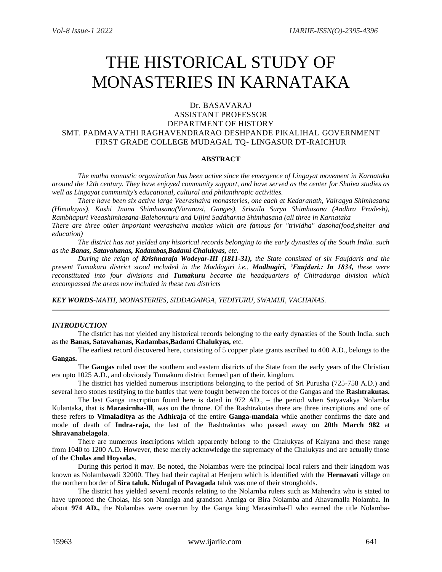# THE HISTORICAL STUDY OF MONASTERIES IN KARNATAKA

# Dr. BASAVARAJ

# ASSISTANT PROFESSOR DEPARTMENT OF HISTORY SMT. PADMAVATHI RAGHAVENDRARAO DESHPANDE PIKALIHAL GOVERNMENT FIRST GRADE COLLEGE MUDAGAL TQ- LINGASUR DT-RAICHUR

## **ABSTRACT**

*The matha monastic organization has been active since the emergence of Lingayat movement in Karnataka around the 12th century. They have enjoyed community support, and have served as the center for Shaiva studies as well as Lingayat community's educational, cultural and philanthropic activities.* 

*There have been six active large Veerashaiva monasteries, one each at Kedaranath, Vairagya Shimhasana (Himalayas), Kashi Jnana Shimhasana(Varanasi, Ganges), Srisaila Surya Shimhasana (Andhra Pradesh), Rambhapuri Veeashimhasana-Balehonnuru and Ujjini Saddharma Shimhasana (all three in Karnataka There are three other important veerashaiva mathas which are famous for "trividha" dasoha(food,shelter and* 

*education)*

*The district has not yielded any historical records belonging to the early dynasties of the South India. such as the Banas, Satavahanas, Kadambas,Badami Chalukyas, etc.* 

*During the reign of Krishnaraja Wodeyar-III (1811-31), the State consisted of six Faujdaris and the present Tumakuru district stood included in the Maddagiri i.e., Madhugiri, 'Faujdari.: In 1834, these were reconstituted into four divisions and Tumakuru became the headquarters of Chitradurga division which encompassed the areas now included in these two districts*

*KEY WORDS-MATH, MONASTERIES, SIDDAGANGA, YEDIYURU, SWAMIJI, VACHANAS.*

## *INTRODUCTION*

The district has not yielded any historical records belonging to the early dynasties of the South India. such as the **Banas, Satavahanas, Kadambas,Badami Chalukyas,** etc.

The earliest record discovered here, consisting of 5 copper plate grants ascribed to 400 A.D., belongs to the **Gangas.**

The **Gangas** ruled over the southern and eastern districts of the State from the early years of the Christian era upto 1025 A.D., and obviously Tumakuru district formed part of their. kingdom.

The district has yielded numerous inscriptions belonging to the period of Sri Purusha (725-758 A.D.) and several hero stones testifying to the battles that were fought between the forces of the Gangas and the **Rashtrakutas.**

The last Ganga inscription found here is dated in 972 AD., – the period when Satyavakya Nolamba Kulantaka, that is **Marasirnha-Ill**, was on the throne. Of the Rashtrakutas there are three inscriptions and one of these refers to **Vimaladitya** as the **Adhiraja** of the entire **Ganga-mandala** while another confirms the date and mode of death of **Indra-raja,** the last of the Rashtrakutas who passed away on **20th March 982** at **Shravanabelagola**.

There are numerous inscriptions which apparently belong to the Chalukyas of Kalyana and these range from 1040 to 1200 A.D. However, these merely acknowledge the supremacy of the Chalukyas and are actually those of the **Cholas and Hoysalas**.

During this period it may. Be noted, the Nolambas were the principal local rulers and their kingdom was known as Nolambavadi 32000. They had their capital at Henjeru which is identified with the **Hernavati** village on the northern border of **Sira taluk. Nidugal of Pavagada** taluk was one of their strongholds.

The district has yielded several records relating to the Nolarnba rulers such as Mahendra who is stated to have uprooted the Cholas, his son Nanniga and grandson Anniga or Bira Nolamba and Ahavamalla Nolamba. In about **974 AD.,** the Nolambas were overrun by the Ganga king Marasirnha-Il who earned the title Nolamba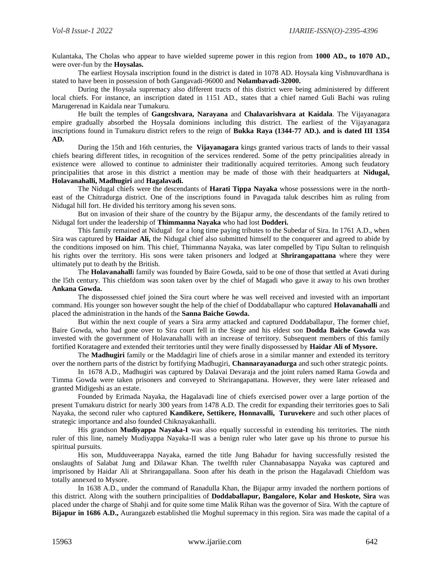Kulantaka, The Cholas who appear to have wielded supreme power in this region from **1000 AD., to 1070 AD.,** were over-fun by the **Hoysalas.**

The earliest Hoysala inscription found in the district is dated in 1078 AD. Hoysala king Vishnuvardhana is stated to have been in possession of both Gangavadi-96000 and **Nolambavadi-32000.**

During the Hoysala supremacy also different tracts of this district were being administered by different local chiefs. For instance, an inscription dated in 1151 AD., states that a chief named Guli Bachi was ruling Marugerenad in Kaidala near Tumakuru.

He built the temples of **Gangcshvara, Narayana** and **Chalavarishvara at Kaidala**. The Vijayanagara empire gradually absorbed the Hoysala dominions including this district. The earliest of the Vijayanagara inscriptions found in Tumakuru district refers to the reign of **Bukka Raya (1344-77 AD.). and is dated III 1354 AD.**

During the 15th and 16th centuries, the **Vijayanagara** kings granted various tracts of lands to their vassal chiefs bearing different titles, in recognition of the services rendered. Some of the petty principalities already in existence were allowed to continue to administer their traditionally acquired territories. Among such feudatory principalities that arose in this district a mention may be made of those with their headquarters at **Nidugal, Holavanahalli, Madhugiri** and **Hagalavadi.**

The Nidugal chiefs were the descendants of **Harati Tippa Nayaka** whose possessions were in the northeast of the Chitradurga district. One of the inscriptions found in Pavagada taluk describes him as ruling from Nidugal hill fort. He divided his territory among his seven sons.

But on invasion of their share of the country by the Bijapur army, the descendants of the family retired to Nidugal fort under the leadership of **Thimmanna Nayaka** who had lost **Dodderi.** 

This family remained at Nidugal for a long time paying tributes to the Subedar of Sira. In 1761 A.D., when Sira was captured by **Haidar Ali,** the Nidugal chief also submitted himself to the conquerer and agreed to abide by the conditions imposed on him. This chief, Thimmanna Nayaka, was later compelled by Tipu Sultan to relinquish his rights over the territory. His sons were taken prisoners and lodged at **Shrirangapattana** where they were ultimately put to death by the British.

The **Holavanahall**i family was founded by Baire Gowda, said to be one of those that settled at Avati during the l5th century. This chiefdom was soon taken over by the chief of Magadi who gave it away to his own brother **Ankana Gowda.**

The dispossessed chief joined the Sira court where he was well received and invested with an important command. His younger son however sought the help of the chief of Doddaballapur who captured **Holavanahalli** and placed the administration in the hands of the **Sanna Baiche Gowda.**

But within the next couple of years a Sira army attacked and captured Doddaballapur, The former chief, Baire Gowda, who had gone over to Sira court fell in the Siege and his eldest son **Dodda Baiche Gowda** was invested with the government of Holavanahalli with an increase of territory. Subsequent members of this family fortified Koratagere and extended their territories until they were finally dispossessed by **Haidar Ali of Mysore.**

The **Madhugiri** family or the Maddagiri line of chiefs arose in a similar manner and extended its territory over the northern parts of the district by fortifying Madhugiri, **Channarayanadurga** and such other strategic points.

In 1678 A.D., Madhugiri was captured by Dalavai Devaraja and the joint rulers named Rama Gowda and Timma Gowda were taken prisoners and conveyed to Shrirangapattana. However, they were later released and granted Midigeshi as an estate.

Founded by Erimada Nayaka, the Hagalavadi line of chiefs exercised power over a large portion of the present Tumakuru district for nearly 300 years from 1478 A.D. The credit for expanding their territories goes to Sali Nayaka, the second ruler who captured **Kandikere, Settikere, Honnavalli, Turuveker**e and such other places of strategic importance and also founded Chiknayakanhalli.

His grandson **Mudiyappa Nayaka-I** was also equally successful in extending his territories. The ninth ruler of this line, namely Mudiyappa Nayaka-II was a benign ruler who later gave up his throne to pursue his spiritual pursuits.

His son, Mudduveerappa Nayaka, earned the title Jung Bahadur for having successfully resisted the onslaughts of Salabat Jung and Dilawar Khan. The twelfth ruler Channabasappa Nayaka was captured and imprisoned by Haidar Ali at Shrirangapallana. Soon after his death in the prison the Hagalavadi Chiefdom was totally annexed to Mysore.

In 1638 A.D., under the command of Ranadulla Khan, the Bijapur army invaded the northern portions of this district. Along with the southern principalities of **Doddaballapur, Bangalore, Kolar and Hoskote, Sira** was placed under the charge of Shahji and for quite some time Malik Rihan was the governor of Sira. With the capture of **Bijapur in 1686 A.D.,** Aurangazeb established tlie Moghul supremacy in this region. Sira was made the capital of a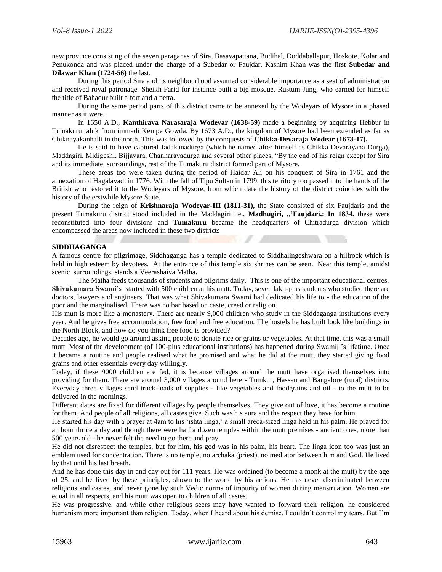new province consisting of the seven paraganas of Sira, Basavapattana, Budihal, Doddaballapur, Hoskote, Kolar and Penukonda and was placed under the charge of a Subedar or Faujdar. Kashim Khan was the first **Subedar and Dilawar Khan (1724-56)** the last.

During this period Sira and its neighbourhood assumed considerable importance as a seat of administration and received royal patronage. Sheikh Farid for instance built a big mosque. Rustum Jung, who earned for himself the title of Bahadur built a fort and a petta.

During the same period parts of this district came to be annexed by the Wodeyars of Mysore in a phased manner as it were.

In 1650 A.D., **Kanthirava Narasaraja Wodeyar (1638-59)** made a beginning by acquiring Hebbur in Tumakuru taluk from immadi Kempe Gowda. By 1673 A.D., the kingdom of Mysore had been extended as far as Chiknayakanhalli in the north. This was followed by the conquests of **Chikka-Devaraja Wodear (1673-17).**

He is said to have captured Jadakanadurga (which he named after himself as Chikka Devarayana Durga), Maddagiri, Midigeshi, Bijjavara, Channarayadurga and several other places, "By the end of his reign except for Sira and its immediate surroundings, rest of the Tumakuru district formed part of Mysore.

These areas too were taken during the period of Haidar Ali on his conquest of Sira in 1761 and the annexation of Hagalavadi in 1776. With the fall of Tipu Sultan in 1799, this territory too passed into the hands of the British who restored it to the Wodeyars of Mysore, from which date the history of the district coincides with the history of the erstwhile Mysore State.

During the reign of **Krishnaraja Wodeyar-III (1811-31),** the State consisted of six Faujdaris and the present Tumakuru district stood included in the Maddagiri i.e., **Madhugiri,** ,,**'Faujdari.: In 1834,** these were reconstituted into four divisions and **Tumakuru** became the headquarters of Chitradurga division which encompassed the areas now included in these two districts

**CONTRACTOR** 

#### **SIDDHAGANGA**

A famous centre for pilgrimage, Siddhaganga has a temple dedicated to Siddhalingeshwara on a hillrock which is held in high esteem by devotees. At the entrance of this temple six shrines can be seen. Near this temple, amidst scenic surroundings, stands a Veerashaiva Matha.

The Matha feeds thousands of students and pilgrims daily. This is one of the important educational centres. **Shivakumara Swami's** started with 500 children at his mutt. Today, seven lakh-plus students who studied there are doctors, lawyers and engineers. That was what Shivakumara Swami had dedicated his life to - the education of the poor and the marginalised. There was no bar based on caste, creed or religion.

His mutt is more like a monastery. There are nearly 9,000 children who study in the Siddaganga institutions every year. And he gives free accommodation, free food and free education. The hostels he has built look like buildings in the North Block, and how do you think free food is provided?

Decades ago, he would go around asking people to donate rice or grains or vegetables. At that time, this was a small mutt. Most of the development (of 100-plus educational institutions) has happened during Swamiji's lifetime. Once it became a routine and people realised what he promised and what he did at the mutt, they started giving food grains and other essentials every day willingly.

Today, if these 9000 children are fed, it is because villages around the mutt have organised themselves into providing for them. There are around 3,000 villages around here - Tumkur, Hassan and Bangalore (rural) districts. Everyday three villages send truck-loads of supplies - like vegetables and foodgrains and oil - to the mutt to be delivered in the mornings.

Different dates are fixed for different villages by people themselves. They give out of love, it has become a routine for them. And people of all religions, all castes give. Such was his aura and the respect they have for him.

He started his day with a prayer at 4am to his 'ishta linga,' a small areca-sized linga held in his palm. He prayed for an hour thrice a day and though there were half a dozen temples within the mutt premises - ancient ones, more than 500 years old - he never felt the need to go there and pray.

He did not disrespect the temples, but for him, his god was in his palm, his heart. The linga icon too was just an emblem used for concentration. There is no temple, no archaka (priest), no mediator between him and God. He lived by that until his last breath.

And he has done this day in and day out for 111 years. He was ordained (to become a monk at the mutt) by the age of 25, and he lived by these principles, shown to the world by his actions. He has never discriminated between religions and castes, and never gone by such Vedic norms of impurity of women during menstruation. Women are equal in all respects, and his mutt was open to children of all castes.

He was progressive, and while other religious seers may have wanted to forward their religion, he considered humanism more important than religion. Today, when I heard about his demise, I couldn't control my tears. But I'm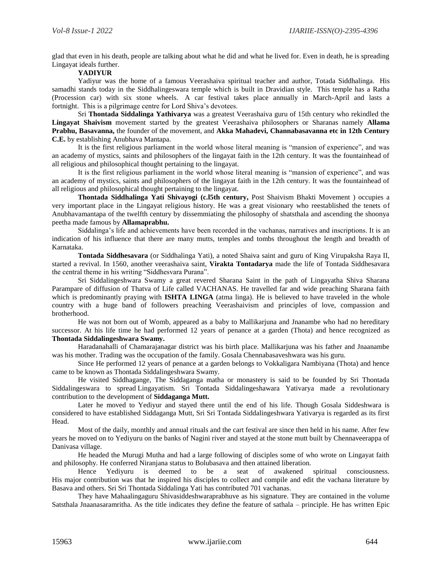glad that even in his death, people are talking about what he did and what he lived for. Even in death, he is spreading Lingayat ideals further.

# **YADIYUR**

Yadiyur was the home of a famous Veerashaiva spiritual teacher and author, Totada Siddhalinga. His samadhi stands today in the Siddhalingeswara temple which is built in Dravidian style. This temple has a Ratha (Procession car) with six stone wheels. A car festival takes place annually in March-April and lasts a fortnight. This is a pilgrimage centre for Lord Shiva's devotees.

Sri **Thontada Siddalinga Yathivarya** was a greatest Veerashaiva guru of 15th century who rekindled the **Lingayat Shaivism** movement started by the greatest Veerashaiva philosophers or Sharanas namely **Allama Prabhu, Basavanna,** the founder of the movement, and **Akka Mahadevi, Channabasavanna etc in 12th Century C.E.** by establishing Anubhava Mantapa.

It is the first religious parliament in the world whose literal meaning is "mansion of experience", and was an academy of mystics, saints and philosophers of the lingayat faith in the 12th century. It was the fountainhead of all religious and philosophical thought pertaining to the lingayat.

It is the first religious parliament in the world whose literal meaning is "mansion of experience", and was an academy of mystics, saints and philosophers of the lingayat faith in the 12th century. It was the fountainhead of all religious and philosophical thought pertaining to the lingayat.

**Thontada Siddhalinga Yati Shivayogi (c.l5th century,** Post Shaivism Bhakti Movement ) occupies a very important place in the Lingayat religious history. He was a great visionary who reestablished the tenets of Anubhavamantapa of the twelfth century by dissemmiating the philosophy of shatsthala and ascending the shoonya peetha made famous by **Allamaprabhu.**

Siddalinga's life and achievements have been recorded in the vachanas, narratives and inscriptions. It is an indication of his influence that there are many mutts, temples and tombs throughout the length and breadth of Karnataka.

**Tontada Siddhesavara** (or Siddhalinga Yati), a noted Shaiva saint and guru of King Virupaksha Raya II, started a revival. In 1560, another veerashaiva saint, **Virakta Tontadarya** made the life of Tontada Siddhesavara the central theme in his writing "Siddhesvara Purana".

Sri Siddalingeshwara Swamy a great revered Sharana Saint in the path of Lingayatha Shiva Sharana Parampare of diffusion of Thatva of Life called VACHANAS. He travelled far and wide preaching Sharana faith which is predominantly praying with **ISHTA LINGA** (atma linga). He is believed to have traveled in the whole country with a huge band of followers preaching Veerashaivism and principles of love, compassion and brotherhood.

He was not born out of Womb, appeared as a baby to Mallikarjuna and Jnanambe who had no hereditary successor. At his life time he had performed 12 years of penance at a garden (Thota) and hence recognized as **Thontada Siddalingeshwara Swamy.**

Haradanahalli of Chamarajanagar district was his birth place. Mallikarjuna was his father and Jnaanambe was his mother. Trading was the occupation of the family. Gosala Chennabasaveshwara was his guru.

Since He performed 12 years of penance at a garden belongs to Vokkaligara Nambiyana (Thota) and hence came to be known as Thontada Siddalingeshwara Swamy.

He visited Siddhagange, The Siddaganga matha or monastery is said to be founded by Sri Thontada Siddalingeswara to spread Lingayatism. Sri Tontada Siddalingeshawara Yativarya made a revolutionary contribution to the development of **Siddaganga Mutt.**

Later he moved to Yediyur and stayed there until the end of his life. Though Gosala Siddeshwara is considered to have established Siddaganga Mutt, Sri Sri Tontada Siddalingeshwara Yativarya is regarded as its first Head.

Most of the daily, monthly and annual rituals and the cart festival are since then held in his name. After few years he moved on to Yediyuru on the banks of Nagini river and stayed at the stone mutt built by Chennaveerappa of Danivasa village.

He headed the Murugi Mutha and had a large following of disciples some of who wrote on Lingayat faith and philosophy. He conferred Niranjana status to Bolubasava and then attained liberation.

Hence Yediyuru is deemed to be a seat of awakened spiritual consciousness. His major contribution was that he inspired his disciples to collect and compile and edit the vachana literature by Basava and others. Sri Sri Thontada Siddalinga Yati has contributed 701 vachanas.

They have Mahaalingaguru Shivasiddeshwaraprabhuve as his signature. They are contained in the volume Satsthala Jnaanasaramritha. As the title indicates they define the feature of sathala – principle. He has written Epic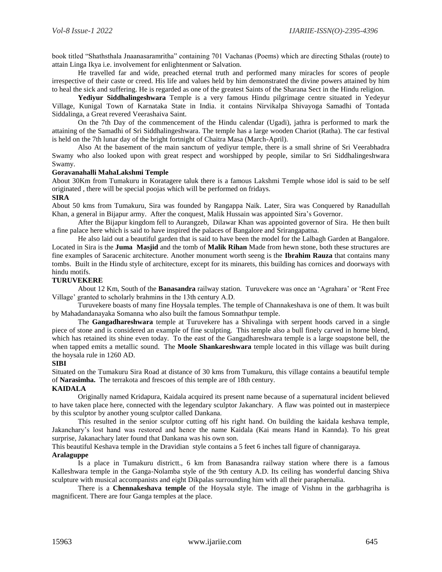book titled "Shathsthala Jnaanasaramritha" containing 701 Vachanas (Poems) which are directing Sthalas (route) to attain Linga Ikya i.e. involvement for enlightenment or Salvation.

He travelled far and wide, preached eternal truth and performed many miracles for scores of people irrespective of their caste or creed. His life and values held by him demonstrated the divine powers attained by him to heal the sick and suffering. He is regarded as one of the greatest Saints of the Sharana Sect in the Hindu religion.

**Yediyur Siddhalingeshwara** Temple is a very famous Hindu pilgrimage centre situated in Yedeyur Village, Kunigal Town of Karnataka State in India. it contains Nirvikalpa Shivayoga Samadhi of Tontada Siddalinga, a Great revered Veerashaiva Saint.

On the 7th Day of the commencement of the Hindu calendar (Ugadi), jathra is performed to mark the attaining of the Samadhi of Sri Siddhalingeshwara. The temple has a large wooden Chariot (Ratha). The car festival is held on the 7th lunar day of the bright fortnight of Chaitra Masa (March-April).

Also At the basement of the main sanctum of yediyur temple, there is a small shrine of Sri Veerabhadra Swamy who also looked upon with great respect and worshipped by people, similar to Sri Siddhalingeshwara Swamy.

## **Goravanahalli MahaLakshmi Temple**

About 30Km from Tumakuru in Koratagere taluk there is a famous Lakshmi Temple whose idol is said to be self originated , there will be special poojas which will be performed on fridays.

#### **SIRA**

About 50 kms from Tumakuru, Sira was founded by Rangappa Naik. Later, Sira was Conquered by Ranadullah Khan, a general in Bijapur army. After the conquest, Malik Hussain was appointed Sira's Governor.

After the Bijapur kingdom fell to Aurangzeb, Dilawar Khan was appointed governor of Sira. He then built a fine palace here which is said to have inspired the palaces of Bangalore and Srirangapatna.

He also laid out a beautiful garden that is said to have been the model for the Lalbagh Garden at Bangalore. Located in Sira is the **Juma Masjid** and the tomb of **Malik Rihan** Made from hewn stone, both these structures are fine examples of Saracenic architecture. Another monument worth seeng is the **Ibrahim Rauza** that contains many tombs. Built in the Hindu style of architecture, except for its minarets, this building has cornices and doorways with hindu motifs.

# **TURUVEKERE**

About 12 Km, South of the **Banasandra** railway station. Turuvekere was once an 'Agrahara' or 'Rent Free Village' granted to scholarly brahmins in the 13th century A.D.

Turuvekere boasts of many fine Hoysala temples. The temple of Channakeshava is one of them. It was built by Mahadandanayaka Somanna who also built the famous Somnathpur temple.

The **Gangadhareshwara** temple at Turuvekere has a Shivalinga with serpent hoods carved in a single piece of stone and is considered an example of fine sculpting. This temple also a bull finely carved in horne blend, which has retained its shine even today. To the east of the Gangadhareshwara temple is a large soapstone bell, the when tapped emits a metallic sound. The **Moole Shankareshwara** temple located in this village was built during the hoysala rule in 1260 AD.

#### **SIBI**

Situated on the Tumakuru Sira Road at distance of 30 kms from Tumakuru, this village contains a beautiful temple of **Narasimha.** The terrakota and frescoes of this temple are of 18th century.

# **KAIDALA**

Originally named Kridapura, Kaidala acquired its present name because of a supernatural incident believed to have taken place here, connected with the legendary sculptor Jakanchary. A flaw was pointed out in masterpiece by this sculptor by another young sculptor called Dankana.

This resulted in the senior sculptor cutting off his right hand. On building the kaidala keshava temple, Jakanchary's lost hand was restored and hence the name Kaidala (Kai means Hand in Kannda). To his great surprise, Jakanachary later found that Dankana was his own son.

This beautiful Keshava temple in the Dravidian style contains a 5 feet 6 inches tall figure of channigaraya.

# **Aralaguppe**

Is a place in Tumakuru districtt., 6 km from Banasandra railway station where there is a famous Kalleshwara temple in the Ganga-Nolamba style of the 9th century A.D. Its ceiling has wonderful dancing Shiva sculpture with musical accompanists and eight Dikpalas surrounding him with all their paraphernalia.

There is a **Chennakeshava temple** of the Hoysala style. The image of Vishnu in the garbhagriha is magnificent. There are four Ganga temples at the place.